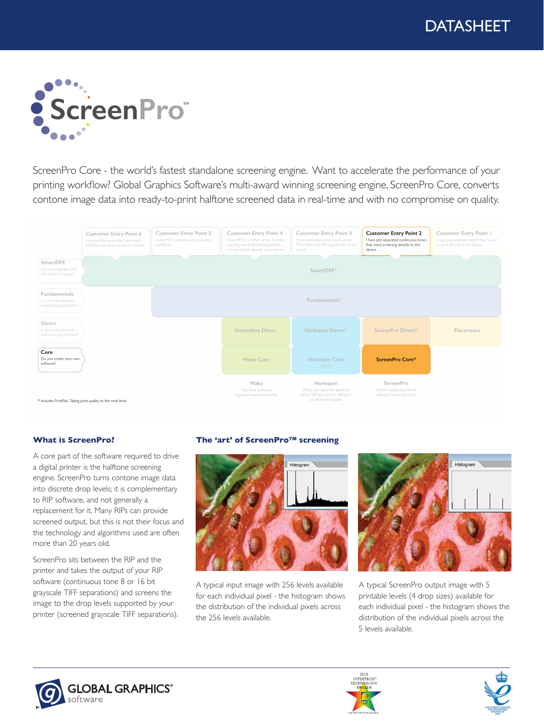

ScreenPro Core - the world's fastest standalone screening engine. Want to accelerate the performance of your printing workflow? Global Graphics Software's multi-award winning screening engine, ScreenPro Core, converts contone image data into ready-to-print halftone screened data in real-time and with no compromise on quality.



### **What is ScreenPro?**

A core part of the software required to drive a digital printer is the halftone screening engine. ScreenPro turns contone image data into discrete drop levels; it is complementary to RIP software, and not generally a replacement for it. Many RIPs can provide screened output, but this is not their focus and the technology and algorithms used are often more than 20 years old.

ScreenPro sits between the RIP and the printer and takes the output of your RIP software (continuous tone 8 or 16 bit grayscale TIFF separations) and screens the image to the drop levels supported by your printer (screened grayscale TIFF separations).

### **The 'art' of ScreenPro™ screening**



A typical input image with 256 levels available for each individual pixel - the histogram shows the distribution of the individual pixels across the 256 levels available.



A typical ScreenPro output image with 5 printable levels (4 drop sizes) available for each individual pixel - the histogram shows the distribution of the individual pixels across the 5 levels available.